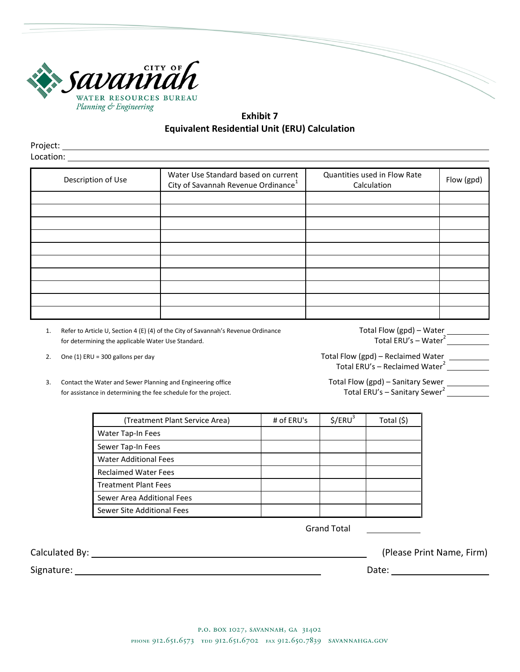

**Exhibit 7 Equivalent Residential Unit (ERU) Calculation**

Project: Location:

| Description of Use | Water Use Standard based on current<br>City of Savannah Revenue Ordinance <sup>1</sup> | Quantities used in Flow Rate<br>Calculation | Flow (gpd) |
|--------------------|----------------------------------------------------------------------------------------|---------------------------------------------|------------|
|                    |                                                                                        |                                             |            |
|                    |                                                                                        |                                             |            |
|                    |                                                                                        |                                             |            |
|                    |                                                                                        |                                             |            |
|                    |                                                                                        |                                             |            |
|                    |                                                                                        |                                             |            |
|                    |                                                                                        |                                             |            |
|                    |                                                                                        |                                             |            |
|                    |                                                                                        |                                             |            |
|                    |                                                                                        |                                             |            |

1. Refer to Article U, Section 4 (E) (4) of the City of Savannah's Revenue Ordinance<br>
for determining the applicable Water Use Standard.<br> **Example 2** Total ERU's – Water<sup>2</sup> for determining the applicable Water Use Standard.

- 
- 3. Contact the Water and Sewer Planning and Engineering office **Total Flow (gpd) Sanitary Sewer**<br>For assistance in determining the fee schedule for the project.<br>Total ERU's Sanitary Sewer<sup>2</sup> for assistance in determining the fee schedule for the project.

2. One (1) ERU = 300 gallons per day and the state of the state of the Total Flow (gpd) – Reclaimed Water and the state of the state of the Second Euler and Total Flow (gpd) – Reclaimed Water and the state of the state of Total ERU's – Reclaimed Water<sup>2</sup> \_\_\_\_\_\_

| (Treatment Plant Service Area) | # of ERU's | \$/ERU <sup>3</sup> | Total (\$) |
|--------------------------------|------------|---------------------|------------|
| Water Tap-In Fees              |            |                     |            |
| Sewer Tap-In Fees              |            |                     |            |
| <b>Water Additional Fees</b>   |            |                     |            |
| <b>Reclaimed Water Fees</b>    |            |                     |            |
| <b>Treatment Plant Fees</b>    |            |                     |            |
| Sewer Area Additional Fees     |            |                     |            |
| Sewer Site Additional Fees     |            |                     |            |

Grand Total

Signature: Date:

Calculated By: (Please Print Name, Firm)